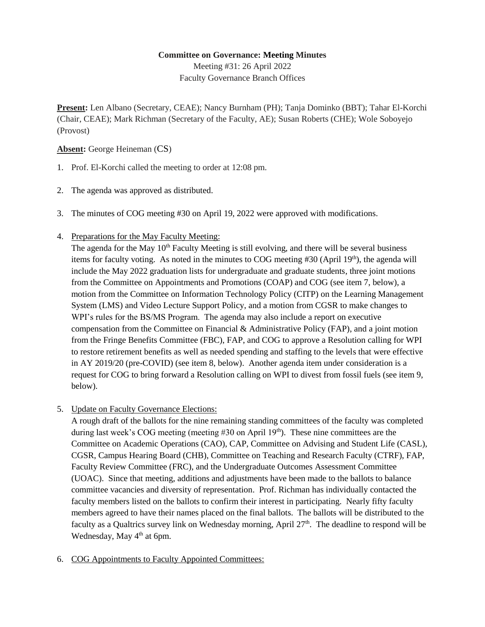### **Committee on Governance: Meeting Minutes**

Meeting #31: 26 April 2022 Faculty Governance Branch Offices

**Present:** Len Albano (Secretary, CEAE); Nancy Burnham (PH); Tanja Dominko (BBT); Tahar El-Korchi (Chair, CEAE); Mark Richman (Secretary of the Faculty, AE); Susan Roberts (CHE); Wole Soboyejo (Provost)

## **Absent:** George Heineman (CS)

- 1. Prof. El-Korchi called the meeting to order at 12:08 pm.
- 2. The agenda was approved as distributed.
- 3. The minutes of COG meeting #30 on April 19, 2022 were approved with modifications.
- 4. Preparations for the May Faculty Meeting:

The agenda for the May 10<sup>th</sup> Faculty Meeting is still evolving, and there will be several business items for faculty voting. As noted in the minutes to COG meeting  $\#30$  (April 19<sup>th</sup>), the agenda will include the May 2022 graduation lists for undergraduate and graduate students, three joint motions from the Committee on Appointments and Promotions (COAP) and COG (see item 7, below), a motion from the Committee on Information Technology Policy (CITP) on the Learning Management System (LMS) and Video Lecture Support Policy, and a motion from CGSR to make changes to WPI's rules for the BS/MS Program. The agenda may also include a report on executive compensation from the Committee on Financial  $\&$  Administrative Policy (FAP), and a joint motion from the Fringe Benefits Committee (FBC), FAP, and COG to approve a Resolution calling for WPI to restore retirement benefits as well as needed spending and staffing to the levels that were effective in AY 2019/20 (pre-COVID) (see item 8, below). Another agenda item under consideration is a request for COG to bring forward a Resolution calling on WPI to divest from fossil fuels (see item 9, below).

5. Update on Faculty Governance Elections:

A rough draft of the ballots for the nine remaining standing committees of the faculty was completed during last week's COG meeting (meeting  $\#30$  on April 19<sup>th</sup>). These nine committees are the Committee on Academic Operations (CAO), CAP, Committee on Advising and Student Life (CASL), CGSR, Campus Hearing Board (CHB), Committee on Teaching and Research Faculty (CTRF), FAP, Faculty Review Committee (FRC), and the Undergraduate Outcomes Assessment Committee (UOAC). Since that meeting, additions and adjustments have been made to the ballots to balance committee vacancies and diversity of representation. Prof. Richman has individually contacted the faculty members listed on the ballots to confirm their interest in participating. Nearly fifty faculty members agreed to have their names placed on the final ballots. The ballots will be distributed to the faculty as a Qualtrics survey link on Wednesday morning, April  $27<sup>th</sup>$ . The deadline to respond will be Wednesday, May 4<sup>th</sup> at 6pm.

6. COG Appointments to Faculty Appointed Committees: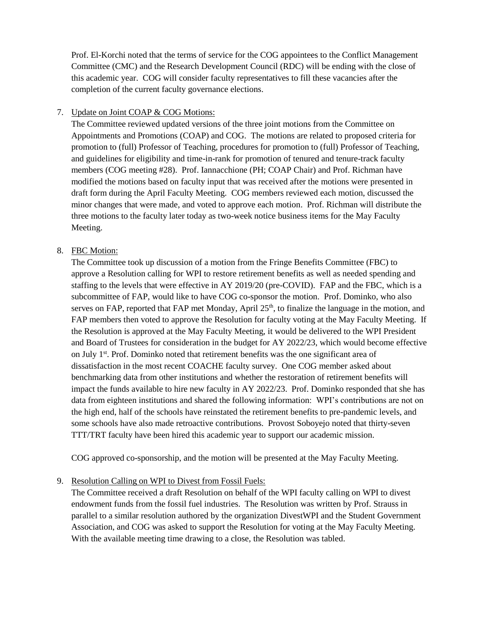Prof. El-Korchi noted that the terms of service for the COG appointees to the Conflict Management Committee (CMC) and the Research Development Council (RDC) will be ending with the close of this academic year. COG will consider faculty representatives to fill these vacancies after the completion of the current faculty governance elections.

## 7. Update on Joint COAP & COG Motions:

The Committee reviewed updated versions of the three joint motions from the Committee on Appointments and Promotions (COAP) and COG. The motions are related to proposed criteria for promotion to (full) Professor of Teaching, procedures for promotion to (full) Professor of Teaching, and guidelines for eligibility and time-in-rank for promotion of tenured and tenure-track faculty members (COG meeting #28). Prof. Iannacchione (PH; COAP Chair) and Prof. Richman have modified the motions based on faculty input that was received after the motions were presented in draft form during the April Faculty Meeting. COG members reviewed each motion, discussed the minor changes that were made, and voted to approve each motion. Prof. Richman will distribute the three motions to the faculty later today as two-week notice business items for the May Faculty Meeting.

### 8. FBC Motion:

The Committee took up discussion of a motion from the Fringe Benefits Committee (FBC) to approve a Resolution calling for WPI to restore retirement benefits as well as needed spending and staffing to the levels that were effective in AY 2019/20 (pre-COVID). FAP and the FBC, which is a subcommittee of FAP, would like to have COG co-sponsor the motion. Prof. Dominko, who also serves on FAP, reported that FAP met Monday, April  $25<sup>th</sup>$ , to finalize the language in the motion, and FAP members then voted to approve the Resolution for faculty voting at the May Faculty Meeting. If the Resolution is approved at the May Faculty Meeting, it would be delivered to the WPI President and Board of Trustees for consideration in the budget for AY 2022/23, which would become effective on July 1<sup>st</sup>. Prof. Dominko noted that retirement benefits was the one significant area of dissatisfaction in the most recent COACHE faculty survey. One COG member asked about benchmarking data from other institutions and whether the restoration of retirement benefits will impact the funds available to hire new faculty in AY 2022/23. Prof. Dominko responded that she has data from eighteen institutions and shared the following information: WPI's contributions are not on the high end, half of the schools have reinstated the retirement benefits to pre-pandemic levels, and some schools have also made retroactive contributions. Provost Soboyejo noted that thirty-seven TTT/TRT faculty have been hired this academic year to support our academic mission.

COG approved co-sponsorship, and the motion will be presented at the May Faculty Meeting.

9. Resolution Calling on WPI to Divest from Fossil Fuels:

The Committee received a draft Resolution on behalf of the WPI faculty calling on WPI to divest endowment funds from the fossil fuel industries. The Resolution was written by Prof. Strauss in parallel to a similar resolution authored by the organization DivestWPI and the Student Government Association, and COG was asked to support the Resolution for voting at the May Faculty Meeting. With the available meeting time drawing to a close, the Resolution was tabled.